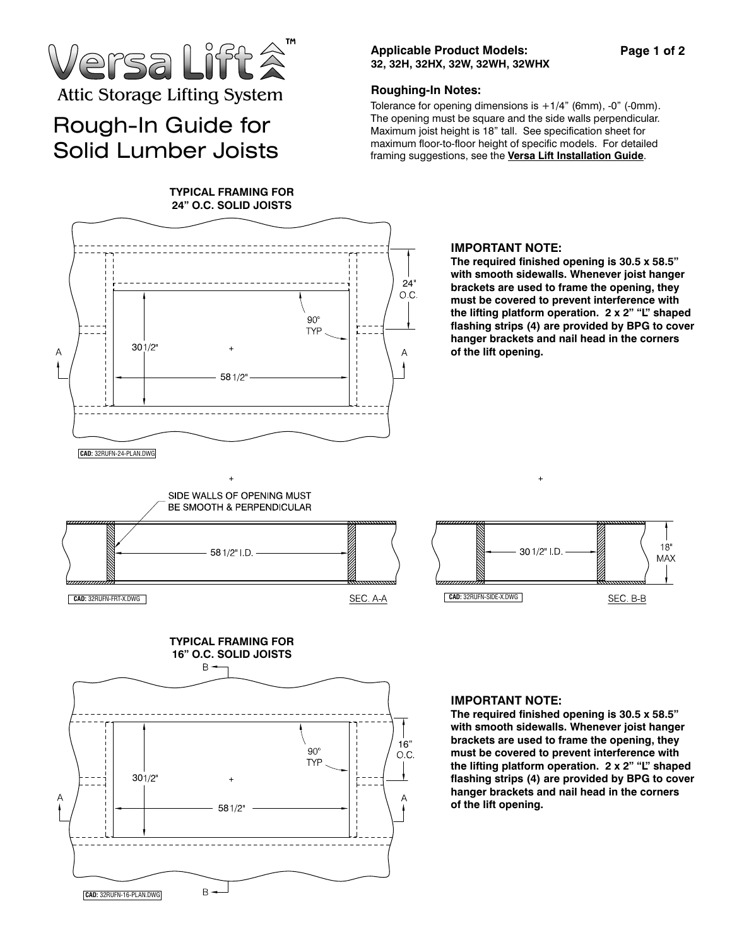

# Rough-In Guide for Solid Lumber Joists

# **Applicable Product Models: 32, 32H, 32HX, 32W, 32WH, 32WHX**

### **Roughing-In Notes:**

Tolerance for opening dimensions is  $+1/4$ " (6mm), -0" (-0mm). The opening must be square and the side walls perpendicular. Maximum joist height is 18" tall. See specification sheet for maximum floor-to-floor height of specific models. For detailed framing suggestions, see the **Versa Lift Installation Guide**.



#### **IMPORTANT NOTE:**

**The required finished opening is 30.5 x 58.5" with smooth sidewalls. Whenever joist hanger brackets are used to frame the opening, they must be covered to prevent interference with the lifting platform operation. 2 x 2" "L" shaped flashing strips (4) are provided by BPG to cover hanger brackets and nail head in the corners of the lift opening.** 







# **IMPORTANT NOTE:**

**The required finished opening is 30.5 x 58.5" with smooth sidewalls. Whenever joist hanger brackets are used to frame the opening, they must be covered to prevent interference with the lifting platform operation. 2 x 2" "L" shaped flashing strips (4) are provided by BPG to cover hanger brackets and nail head in the corners**